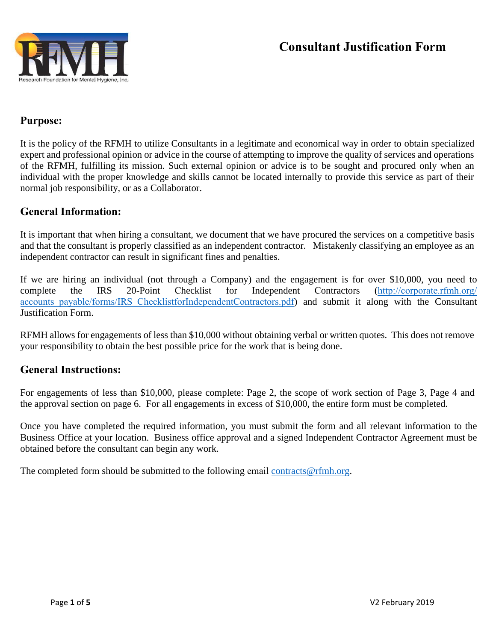

# **Consultant Justification Form**

## **Purpose:**

It is the policy of the RFMH to utilize Consultants in a legitimate and economical way in order to obtain specialized expert and professional opinion or advice in the course of attempting to improve the quality of services and operations of the RFMH, fulfilling its mission. Such external opinion or advice is to be sought and procured only when an individual with the proper knowledge and skills cannot be located internally to provide this service as part of their normal job responsibility, or as a Collaborator.

### **General Information:**

It is important that when hiring a consultant, we document that we have procured the services on a competitive basis and that the consultant is properly classified as an independent contractor. Mistakenly classifying an employee as an independent contractor can result in significant fines and penalties.

If we are hiring an individual (not through a Company) and the engagement is for over \$10,000, you need to complete the IRS 20-Point Checklist for Independent Contractors (http://corporate.rfmh.org/ accounts payable/forms/IRS\_ChecklistforIndependentContractors.pdf) and submit it along with the Consultant Justification Form.

RFMH allows for engagements of less than \$10,000 without obtaining verbal or written quotes. This does not remove your responsibility to obtain the best possible price for the work that is being done.

#### **General Instructions:**

For engagements of less than \$10,000, please complete: Page 2, the scope of work section of Page 3, Page 4 and the approval section on page 6. For all engagements in excess of \$10,000, the entire form must be completed.

Once you have completed the required information, you must submit the form and all relevant information to the Business Office at your location. Business office approval and a signed Independent Contractor Agreement must be obtained before the consultant can begin any work.

The completed form should be submitted to the following email contracts@rfmh.org.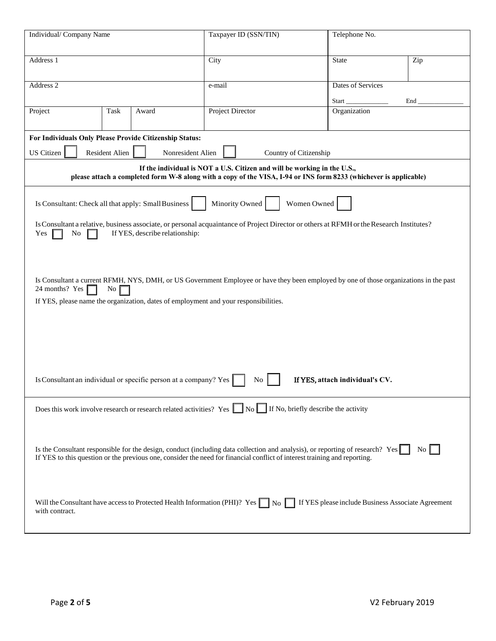| Individual/ Company Name                                                                                                                                                                                                                                                                                                                                             |               | Taxpayer ID (SSN/TIN)                                                                                                                                                                                                                                      | Telephone No.                      |                  |  |  |
|----------------------------------------------------------------------------------------------------------------------------------------------------------------------------------------------------------------------------------------------------------------------------------------------------------------------------------------------------------------------|---------------|------------------------------------------------------------------------------------------------------------------------------------------------------------------------------------------------------------------------------------------------------------|------------------------------------|------------------|--|--|
| Address 1                                                                                                                                                                                                                                                                                                                                                            |               | City                                                                                                                                                                                                                                                       | <b>State</b>                       | Zip              |  |  |
| Address 2                                                                                                                                                                                                                                                                                                                                                            |               | e-mail                                                                                                                                                                                                                                                     | <b>Dates of Services</b><br>Start_ | End              |  |  |
| Project                                                                                                                                                                                                                                                                                                                                                              | Task<br>Award | <b>Project Director</b>                                                                                                                                                                                                                                    | Organization                       |                  |  |  |
| For Individuals Only Please Provide Citizenship Status:<br><b>US</b> Citizen<br>Resident Alien<br>Nonresident Alien<br>Country of Citizenship                                                                                                                                                                                                                        |               |                                                                                                                                                                                                                                                            |                                    |                  |  |  |
| If the individual is NOT a U.S. Citizen and will be working in the U.S.,<br>please attach a completed form W-8 along with a copy of the VISA, I-94 or INS form 8233 (whichever is applicable)                                                                                                                                                                        |               |                                                                                                                                                                                                                                                            |                                    |                  |  |  |
| Minority Owned<br>Is Consultant: Check all that apply: Small Business<br>Women Owned                                                                                                                                                                                                                                                                                 |               |                                                                                                                                                                                                                                                            |                                    |                  |  |  |
| Is Consultant a relative, business associate, or personal acquaintance of Project Director or others at RFMH or the Research Institutes?<br>If YES, describe relationship:<br>Yes<br>No                                                                                                                                                                              |               |                                                                                                                                                                                                                                                            |                                    |                  |  |  |
| Is Consultant a current RFMH, NYS, DMH, or US Government Employee or have they been employed by one of those organizations in the past<br>24 months? Yes<br>No.<br>If YES, please name the organization, dates of employment and your responsibilities.<br>Is Consultant an individual or specific person at a company? Yes<br>If YES, attach individual's CV.<br>No |               |                                                                                                                                                                                                                                                            |                                    |                  |  |  |
|                                                                                                                                                                                                                                                                                                                                                                      |               | Does this work involve research or research related activities? Yes $\Box$ No $\Box$ If No, briefly describe the activity                                                                                                                                  |                                    |                  |  |  |
|                                                                                                                                                                                                                                                                                                                                                                      |               | Is the Consultant responsible for the design, conduct (including data collection and analysis), or reporting of research? Yes<br>If YES to this question or the previous one, consider the need for financial conflict of interest training and reporting. |                                    | $\overline{N_0}$ |  |  |
| with contract.                                                                                                                                                                                                                                                                                                                                                       |               | Will the Consultant have access to Protected Health Information (PHI)? Yes \Res \Res \Res please include Business Associate Agreement                                                                                                                      |                                    |                  |  |  |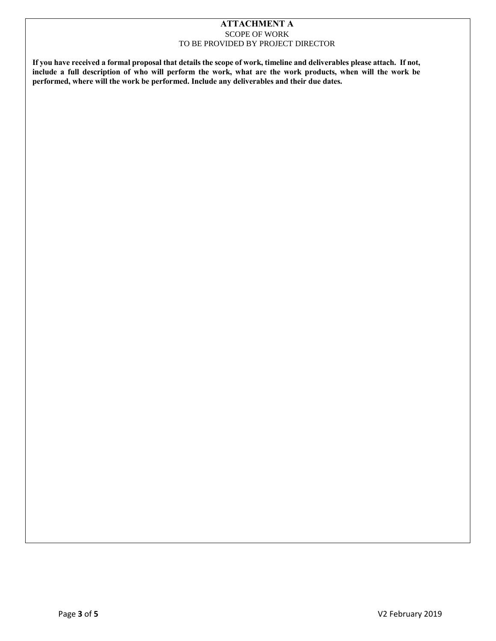#### **ATTACHMENT A** SCOPE OF WORK TO BE PROVIDED BY PROJECT DIRECTOR

**If you have received a formal proposal that details the scope of work, timeline and deliverables please attach. If not, include a full description of who will perform the work, what are the work products, when will the work be performed, where will the work be performed. Include any deliverables and their due dates.**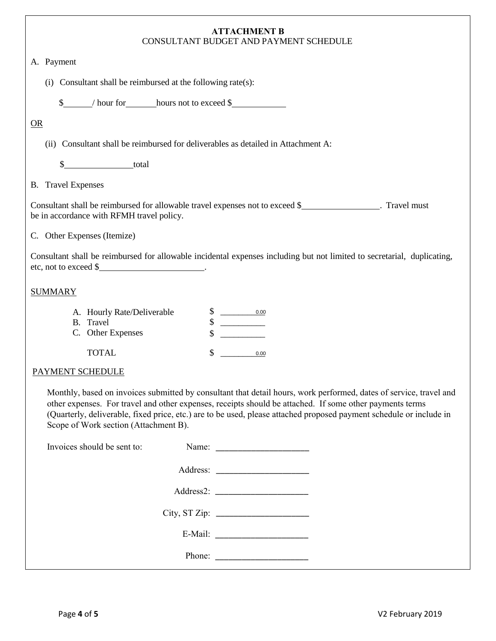| <b>ATTACHMENT B</b><br>CONSULTANT BUDGET AND PAYMENT SCHEDULE                                                                                                                                                                                                                                                                                                                                  |  |  |  |  |  |  |
|------------------------------------------------------------------------------------------------------------------------------------------------------------------------------------------------------------------------------------------------------------------------------------------------------------------------------------------------------------------------------------------------|--|--|--|--|--|--|
| A. Payment                                                                                                                                                                                                                                                                                                                                                                                     |  |  |  |  |  |  |
| (i) Consultant shall be reimbursed at the following rate(s):                                                                                                                                                                                                                                                                                                                                   |  |  |  |  |  |  |
| \$________/ hour for_________hours not to exceed \$_______________________________                                                                                                                                                                                                                                                                                                             |  |  |  |  |  |  |
| OR                                                                                                                                                                                                                                                                                                                                                                                             |  |  |  |  |  |  |
| (ii) Consultant shall be reimbursed for deliverables as detailed in Attachment A:                                                                                                                                                                                                                                                                                                              |  |  |  |  |  |  |
| <u>total</u><br>\$                                                                                                                                                                                                                                                                                                                                                                             |  |  |  |  |  |  |
| <b>B.</b> Travel Expenses                                                                                                                                                                                                                                                                                                                                                                      |  |  |  |  |  |  |
| be in accordance with RFMH travel policy.                                                                                                                                                                                                                                                                                                                                                      |  |  |  |  |  |  |
| C. Other Expenses (Itemize)                                                                                                                                                                                                                                                                                                                                                                    |  |  |  |  |  |  |
| Consultant shall be reimbursed for allowable incidental expenses including but not limited to secretarial, duplicating,<br>etc, not to exceed \$<br><u> 1990 - Jan Barbara Barat, politik eta politik eta politik eta politik eta politik eta politik eta politik e</u>                                                                                                                        |  |  |  |  |  |  |
| <b>SUMMARY</b>                                                                                                                                                                                                                                                                                                                                                                                 |  |  |  |  |  |  |
| A. Hourly Rate/Deliverable<br>$\begin{array}{c c} \hline \rule{0cm}{2.5mm} & 0.00 \\ \hline \rule{0cm}{2.5mm} & \multicolumn{3.5mm}{2.5mm} \end{array}$<br>\$<br>B. Travel<br>C. Other Expenses                                                                                                                                                                                                |  |  |  |  |  |  |
| <b>TOTAL</b><br>\$<br>0.00                                                                                                                                                                                                                                                                                                                                                                     |  |  |  |  |  |  |
| PAYMENT SCHEDULE                                                                                                                                                                                                                                                                                                                                                                               |  |  |  |  |  |  |
| Monthly, based on invoices submitted by consultant that detail hours, work performed, dates of service, travel and<br>other expenses. For travel and other expenses, receipts should be attached. If some other payments terms<br>(Quarterly, deliverable, fixed price, etc.) are to be used, please attached proposed payment schedule or include in<br>Scope of Work section (Attachment B). |  |  |  |  |  |  |
| Invoices should be sent to:                                                                                                                                                                                                                                                                                                                                                                    |  |  |  |  |  |  |
|                                                                                                                                                                                                                                                                                                                                                                                                |  |  |  |  |  |  |
|                                                                                                                                                                                                                                                                                                                                                                                                |  |  |  |  |  |  |
|                                                                                                                                                                                                                                                                                                                                                                                                |  |  |  |  |  |  |
|                                                                                                                                                                                                                                                                                                                                                                                                |  |  |  |  |  |  |
| Phone: $\frac{1}{\sqrt{1-\frac{1}{2}} \cdot \frac{1}{2}}$                                                                                                                                                                                                                                                                                                                                      |  |  |  |  |  |  |